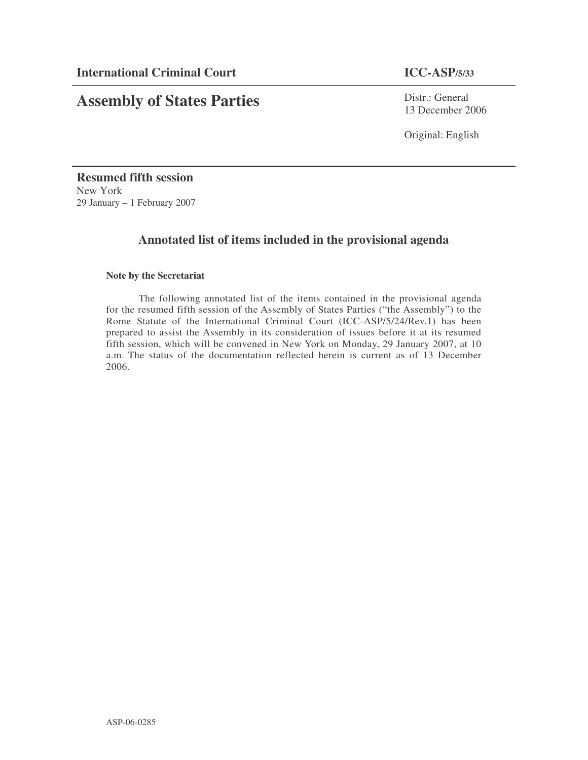# **Assembly of States Parties**

Distr.: General 13 December 2006

Original: English

**Resumed fifth session** New York 29 January – 1 February 2007

## **Annotated list of items included in the provisional agenda**

### **Note by the Secretariat**

The following annotated list of the items contained in the provisional agenda for the resumed fifth session of the Assembly of States Parties ("the Assembly") to the Rome Statute of the International Criminal Court (ICC-ASP/5/24/Rev.1) has been prepared to assist the Assembly in its consideration of issues before it at its resumed fifth session, which will be convened in New York on Monday, 29 January 2007, at 10 a.m. The status of the documentation reflected herein is current as of 13 December 2006.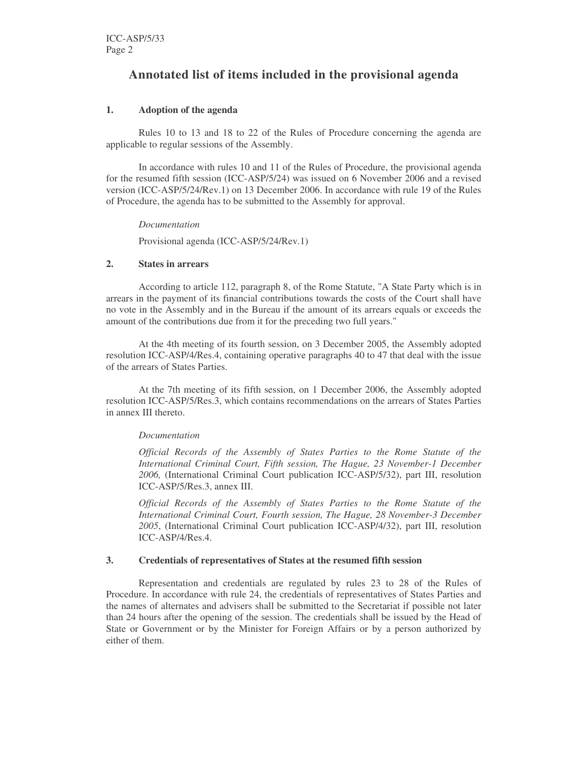## **Annotated list of items included in the provisional agenda**

#### **1. Adoption of the agenda**

Rules 10 to 13 and 18 to 22 of the Rules of Procedure concerning the agenda are applicable to regular sessions of the Assembly.

In accordance with rules 10 and 11 of the Rules of Procedure, the provisional agenda for the resumed fifth session (ICC-ASP/5/24) was issued on 6 November 2006 and a revised version (ICC-ASP/5/24/Rev.1) on 13 December 2006. In accordance with rule 19 of the Rules of Procedure, the agenda has to be submitted to the Assembly for approval.

*Documentation*

Provisional agenda (ICC-ASP/5/24/Rev.1)

#### **2. States in arrears**

According to article 112, paragraph 8, of the Rome Statute, "A State Party which is in arrears in the payment of its financial contributions towards the costs of the Court shall have no vote in the Assembly and in the Bureau if the amount of its arrears equals or exceeds the amount of the contributions due from it for the preceding two full years."

At the 4th meeting of its fourth session, on 3 December 2005, the Assembly adopted resolution ICC-ASP/4/Res.4, containing operative paragraphs 40 to 47 that deal with the issue of the arrears of States Parties.

At the 7th meeting of its fifth session, on 1 December 2006, the Assembly adopted resolution ICC-ASP/5/Res.3, which contains recommendations on the arrears of States Parties in annex III thereto.

#### *Documentation*

*Official Records of the Assembly of States Parties to the Rome Statute of the International Criminal Court, Fifth session, The Hague, 23 November-1 December 2006,* (International Criminal Court publication ICC-ASP/5/32), part III, resolution ICC-ASP/5/Res.3, annex III.

*Official Records of the Assembly of States Parties to the Rome Statute of the International Criminal Court, Fourth session, The Hague, 28 November-3 December 2005*, (International Criminal Court publication ICC-ASP/4/32), part III, resolution ICC-ASP/4/Res.4.

#### **3. Credentials of representatives of States at the resumed fifth session**

Representation and credentials are regulated by rules 23 to 28 of the Rules of Procedure. In accordance with rule 24, the credentials of representatives of States Parties and the names of alternates and advisers shall be submitted to the Secretariat if possible not later than 24 hours after the opening of the session. The credentials shall be issued by the Head of State or Government or by the Minister for Foreign Affairs or by a person authorized by either of them.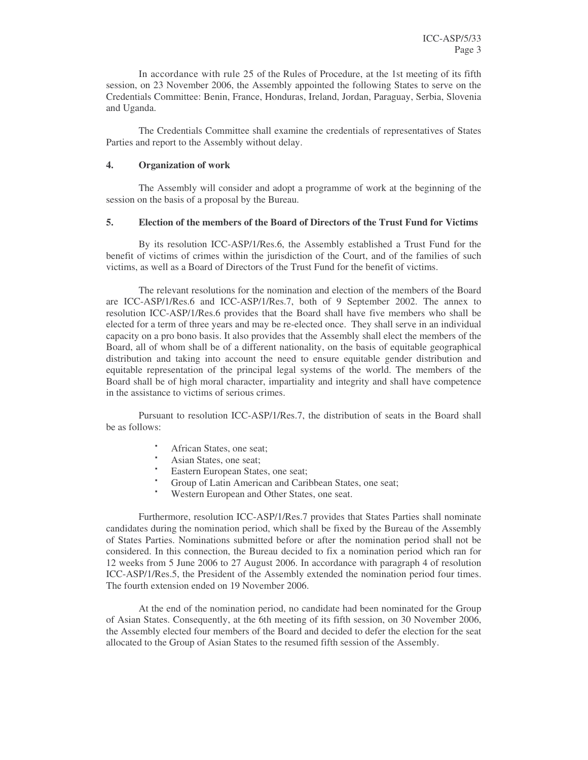In accordance with rule 25 of the Rules of Procedure, at the 1st meeting of its fifth session, on 23 November 2006, the Assembly appointed the following States to serve on the Credentials Committee: Benin, France, Honduras, Ireland, Jordan, Paraguay, Serbia, Slovenia and Uganda.

The Credentials Committee shall examine the credentials of representatives of States Parties and report to the Assembly without delay.

#### **4. Organization of work**

The Assembly will consider and adopt a programme of work at the beginning of the session on the basis of a proposal by the Bureau.

#### **5. Election of the members of the Board of Directors of the Trust Fund for Victims**

By its resolution ICC-ASP/1/Res.6, the Assembly established a Trust Fund for the benefit of victims of crimes within the jurisdiction of the Court, and of the families of such victims, as well as a Board of Directors of the Trust Fund for the benefit of victims.

The relevant resolutions for the nomination and election of the members of the Board are ICC-ASP/1/Res.6 and ICC-ASP/1/Res.7, both of 9 September 2002. The annex to resolution ICC-ASP/1/Res.6 provides that the Board shall have five members who shall be elected for a term of three years and may be re-elected once. They shall serve in an individual capacity on a pro bono basis. It also provides that the Assembly shall elect the members of the Board, all of whom shall be of a different nationality, on the basis of equitable geographical distribution and taking into account the need to ensure equitable gender distribution and equitable representation of the principal legal systems of the world. The members of the Board shall be of high moral character, impartiality and integrity and shall have competence in the assistance to victims of serious crimes.

Pursuant to resolution ICC-ASP/1/Res.7, the distribution of seats in the Board shall be as follows:

- African States, one seat;
- Asian States, one seat;
- Eastern European States, one seat;
- Group of Latin American and Caribbean States, one seat;
- Western European and Other States, one seat.

Furthermore, resolution ICC-ASP/1/Res.7 provides that States Parties shall nominate candidates during the nomination period, which shall be fixed by the Bureau of the Assembly of States Parties. Nominations submitted before or after the nomination period shall not be considered. In this connection, the Bureau decided to fix a nomination period which ran for 12 weeks from 5 June 2006 to 27 August 2006. In accordance with paragraph 4 of resolution ICC-ASP/1/Res.5, the President of the Assembly extended the nomination period four times. The fourth extension ended on 19 November 2006.

At the end of the nomination period, no candidate had been nominated for the Group of Asian States. Consequently, at the 6th meeting of its fifth session, on 30 November 2006, the Assembly elected four members of the Board and decided to defer the election for the seat allocated to the Group of Asian States to the resumed fifth session of the Assembly.